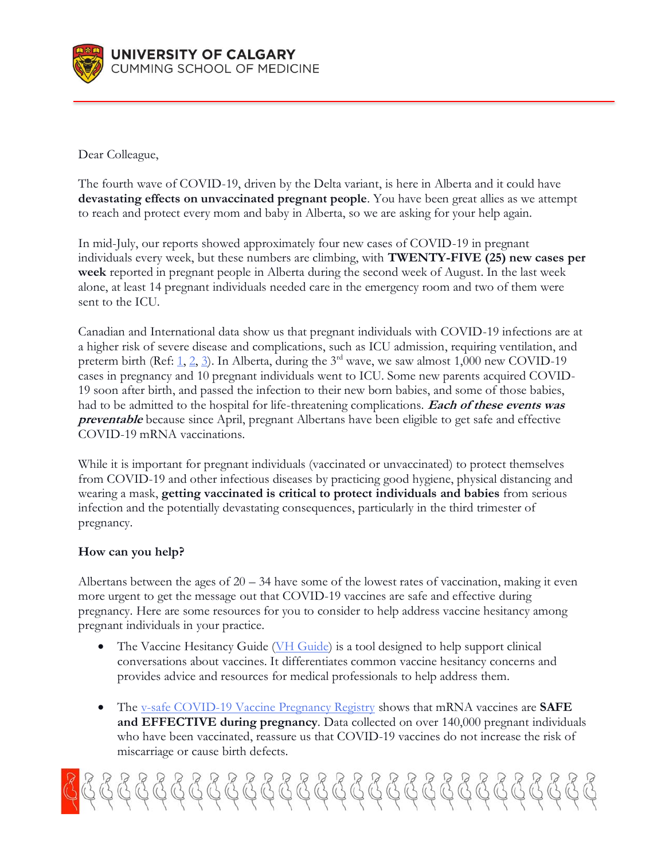

Dear Colleague,

The fourth wave of COVID-19, driven by the Delta variant, is here in Alberta and it could have **devastating effects on unvaccinated pregnant people**. You have been great allies as we attempt to reach and protect every mom and baby in Alberta, so we are asking for your help again.

In mid-July, our reports showed approximately four new cases of COVID-19 in pregnant individuals every week, but these numbers are climbing, with **TWENTY-FIVE (25) new cases per week** reported in pregnant people in Alberta during the second week of August. In the last week alone, at least 14 pregnant individuals needed care in the emergency room and two of them were sent to the ICU.

Canadian and International data show us that pregnant individuals with COVID-19 infections are at a higher risk of severe disease and complications, such as ICU admission, requiring ventilation, and preterm birth (Ref: [1,](https://pubmed.ncbi.nlm.nih.gov/33151921/) [2,](https://pubmed.ncbi.nlm.nih.gov/32873575/) [3\)](http://med-fom-ridprogram.sites.olt.ubc.ca/files/2021/06/CANCOVID_Preg-Report-4-ON-BC-QC-MB-AB_FINAL.pdf). In Alberta, during the  $3<sup>rd</sup>$  wave, we saw almost 1,000 new COVID-19 cases in pregnancy and 10 pregnant individuals went to ICU. Some new parents acquired COVID-19 soon after birth, and passed the infection to their new born babies, and some of those babies, had to be admitted to the hospital for life-threatening complications. **Each of these events was preventable** because since April, pregnant Albertans have been eligible to get safe and effective COVID-19 mRNA vaccinations.

While it is important for pregnant individuals (vaccinated or unvaccinated) to protect themselves from COVID-19 and other infectious diseases by practicing good hygiene, physical distancing and wearing a mask, **getting vaccinated is critical to protect individuals and babies** from serious infection and the potentially devastating consequences, particularly in the third trimester of pregnancy.

## **How can you help?**

Albertans between the ages of  $20 - 34$  have some of the lowest rates of vaccination, making it even more urgent to get the message out that COVID-19 vaccines are safe and effective during pregnancy. Here are some resources for you to consider to help address vaccine hesitancy among pregnant individuals in your practice.

- The Vaccine Hesitancy Guide [\(VH Guide\)](https://www.vhguide.ca/) is a tool designed to help support clinical conversations about vaccines. It differentiates common vaccine hesitancy concerns and provides advice and resources for medical professionals to help address them.
- The v-safe [COVID-19 Vaccine Pregnancy Registry](https://www.cdc.gov/coronavirus/2019-ncov/vaccines/safety/vsafepregnancyregistry.html) shows that mRNA vaccines are **SAFE and EFFECTIVE during pregnancy**. Data collected on over 140,000 pregnant individuals who have been vaccinated, reassure us that COVID-19 vaccines do not increase the risk of miscarriage or cause birth defects.